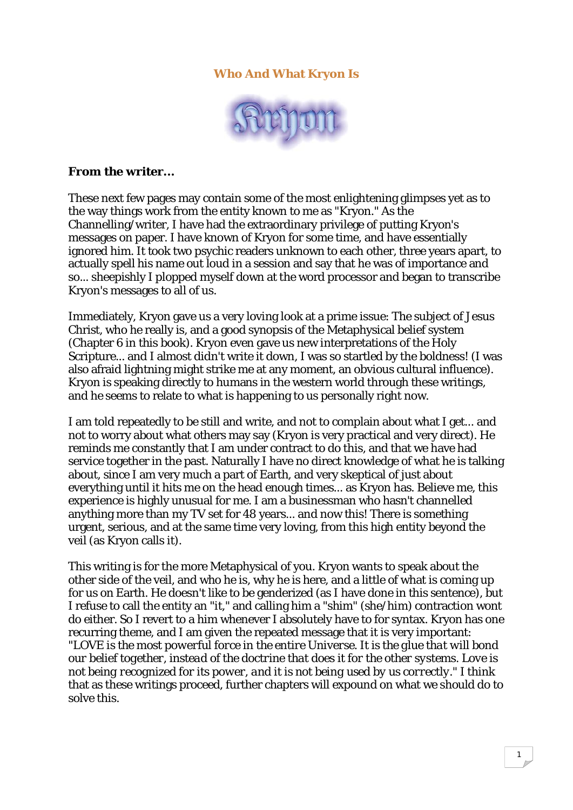## **Who And What Kryon Is**



**From the writer...**

These next few pages may contain some of the most enlightening glimpses yet as to the way things work from the entity known to me as "Kryon." As the Channelling/writer, I have had the extraordinary privilege of putting Kryon's messages on paper. I have known of Kryon for some time, and have essentially ignored him. It took two psychic readers unknown to each other, three years apart, to actually spell his name out loud in a session and say that he was of importance and so... sheepishly I plopped myself down at the word processor and began to transcribe Kryon's messages to all of us.

Immediately, Kryon gave us a very loving look at a prime issue: The subject of Jesus Christ, who he really is, and a good synopsis of the Metaphysical belief system (Chapter 6 in this book). Kryon even gave us new interpretations of the Holy Scripture... and I almost didn't write it down, I was so startled by the boldness! (I was also afraid lightning might strike me at any moment, an obvious cultural influence). Kryon is speaking directly to humans in the western world through these writings, and he seems to relate to what is happening to us personally right now.

I am told repeatedly to be still and write, and not to complain about what I get... and not to worry about what others may say (Kryon is very practical and very direct). He reminds me constantly that I am under contract to do this, and that we have had service together in the past. Naturally I have no direct knowledge of what he is talking about, since I am very much a part of Earth, and very skeptical of just about everything until it hits me on the head enough times... as Kryon has. Believe me, this experience is highly unusual for me. I am a businessman who hasn't channelled anything more than my TV set for 48 years... and now this! There is something urgent, serious, and at the same time very loving, from this high entity beyond the veil (as Kryon calls it).

This writing is for the more Metaphysical of you. Kryon wants to speak about the other side of the veil, and who he is, why he is here, and a little of what is coming up for us on Earth. He doesn't like to be genderized (as I have done in this sentence), but I refuse to call the entity an "it," and calling him a "shim" (she/him) contraction wont do either. So I revert to a him whenever I absolutely have to for syntax. Kryon has one recurring theme, and I am given the repeated message that it is very important: "*LOVE is the most powerful force in the entire Universe. It is the glue that will bond our belief together, instead of the doctrine that does it for the other systems. Love is not being recognized for its power, and it is not being used by us correctly.*" I think that as these writings proceed, further chapters will expound on what we should do to solve this.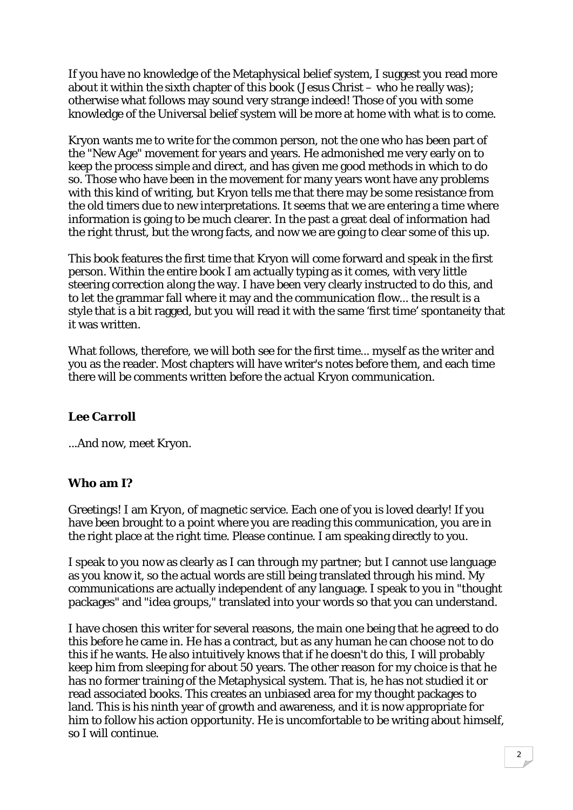If you have no knowledge of the Metaphysical belief system, I suggest you read more about it within the sixth chapter of this book (Jesus Christ – who he really was); otherwise what follows may sound very strange indeed! Those of you with some knowledge of the Universal belief system will be more at home with what is to come.

Kryon wants me to write for the common person, not the one who has been part of the "New Age" movement for years and years. He admonished me very early on to keep the process simple and direct, and has given me good methods in which to do so. Those who have been in the movement for many years wont have any problems with this kind of writing, but Kryon tells me that there may be some resistance from the old timers due to new interpretations. It seems that we are entering a time where information is going to be much clearer. In the past a great deal of information had the right thrust, but the wrong facts, and now we are going to clear some of this up.

This book features the first time that Kryon will come forward and speak in the first person. Within the entire book I am actually typing as it comes, with very little steering correction along the way. I have been very clearly instructed to do this, and to let the grammar fall where it may and the communication flow... the result is a style that is a bit ragged, but you will read it with the same 'first time' spontaneity that it was written.

What follows, therefore, we will both see for the first time... myself as the writer and you as the reader. Most chapters will have writer's notes before them, and each time there will be comments written before the actual Kryon communication.

*Lee Carroll*

...And now, meet Kryon.

#### **Who am I?**

Greetings! I am Kryon, of magnetic service. Each one of you is loved dearly! If you have been brought to a point where you are reading this communication, you are in the right place at the right time. Please continue. I am speaking directly to you.

I speak to you now as clearly as I can through my partner; but I cannot use language as you know it, so the actual words are still being translated through his mind. My communications are actually independent of any language. I speak to you in "thought packages" and "idea groups," translated into your words so that you can understand.

I have chosen this writer for several reasons, the main one being that he agreed to do this before he came in. He has a contract, but as any human he can choose not to do this if he wants. He also intuitively knows that if he doesn't do this, I will probably keep him from sleeping for about 50 years. The other reason for my choice is that he has no former training of the Metaphysical system. That is, he has not studied it or read associated books. This creates an unbiased area for my thought packages to land. This is his ninth year of growth and awareness, and it is now appropriate for him to follow his action opportunity. He is uncomfortable to be writing about himself, so I will continue.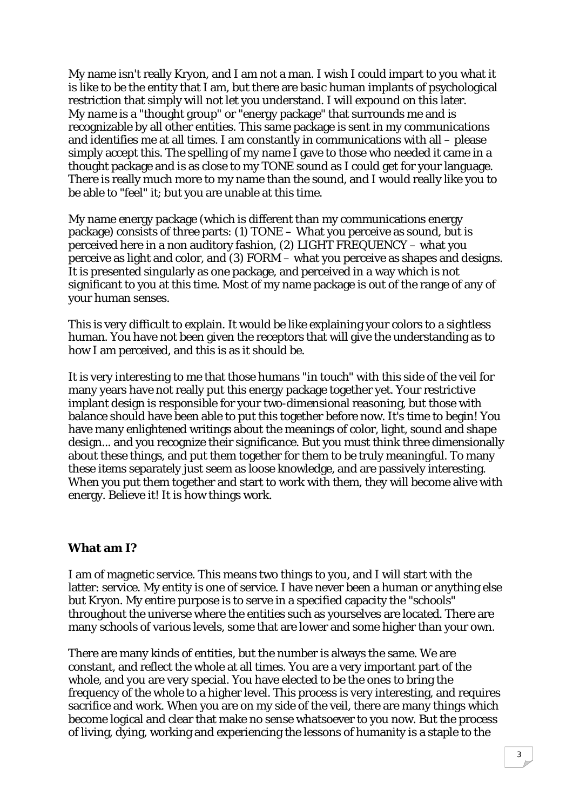My name isn't really Kryon, and I am not a man. I wish I could impart to you what it is like to be the entity that I am, but there are basic human implants of psychological restriction that simply will not let you understand. I will expound on this later. My *name* is a "thought group" or "energy package" that surrounds me and is recognizable by all other entities. This same package is sent in my communications and identifies me at all times. I am constantly in communications with all – please simply accept this. The spelling of my name I gave to those who needed it came in a thought package and is as close to my TONE sound as I could get for your language. There is really much more to my name than the sound, and I would really like you to be able to "feel" it; but you are unable at this time.

My name energy package (which is different than my communications energy package) consists of three parts: (1) TONE – What you perceive as sound, but is perceived here in a non auditory fashion, (2) LIGHT FREQUENCY – what you perceive as light and color, and (3) FORM – what you perceive as shapes and designs. It is presented singularly as one package, and perceived in a way which is not significant to you at this time. Most of my name package is out of the range of any of your human senses.

This is very difficult to explain. It would be like explaining your colors to a sightless human. You have not been given the receptors that will give the understanding as to how I am perceived, and this is as it should be.

It is very interesting to me that those humans "in touch" with this side of the veil for many years have not really put this energy package together yet. Your restrictive implant design is responsible for your two-dimensional reasoning, but those with balance should have been able to put this together before now. It's time to begin! You have many enlightened writings about the meanings of color, light, sound and shape design... and you recognize their significance. But you must think three dimensionally about these things, and put them together for them to be truly meaningful. To many these items separately just seem as loose knowledge, and are passively interesting. When you put them together and start to work with them, they will become alive with energy. Believe it! It is how things work.

#### **What am I?**

I am of magnetic service. This means two things to you, and I will start with the latter: service. My entity is one of service. I have never been a human or anything else but Kryon. My entire purpose is to serve in a specified capacity the "schools" throughout the universe where the entities such as yourselves are located. There are many schools of various levels, some that are lower and some higher than your own.

There are many kinds of entities, but the number is always the same. We are constant, and reflect the whole at all times. You are a very important part of the whole, and you are very special. You have elected to be the ones to bring the frequency of the whole to a higher level. This process is very interesting, and requires sacrifice and work. When you are on my side of the veil, there are many things which become logical and clear that make no sense whatsoever to you now. But the process of living, dying, working and experiencing the lessons of humanity is a staple to the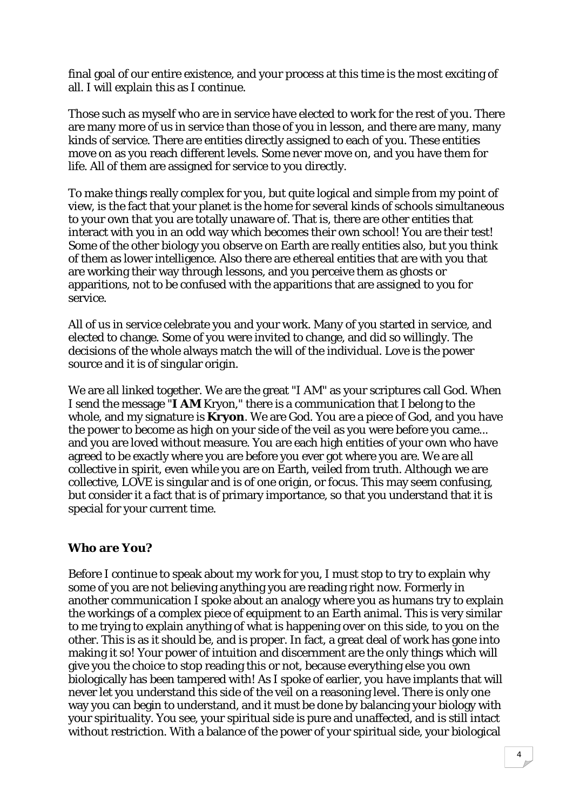final goal of our entire existence, and your process at this time is the most exciting of all. I will explain this as I continue.

Those such as myself who are in service have elected to work for the rest of you. There are many more of us in service than those of you in lesson, and there are many, many kinds of service. There are entities directly assigned to each of you. These entities move on as you reach different levels. Some never move on, and you have them for life. All of them are assigned for service to you directly.

To make things really complex for you, but quite logical and simple from my point of view, is the fact that your planet is the home for several kinds of schools simultaneous to your own that you are totally unaware of. That is, there are other entities that interact with you in an odd way which becomes their own school! You are their test! Some of the other biology you observe on Earth are really entities also, but you think of them as lower intelligence. Also there are ethereal entities that are with you that are working their way through lessons, and you perceive them as ghosts or apparitions, not to be confused with the apparitions that are assigned to you for service.

All of us in service celebrate you and your work. Many of you started in service, and elected to change. Some of you were invited to change, and did so willingly. The decisions of the whole always match the will of the individual. Love is the power source and it is of singular origin.

We are all linked together. We are the great "I AM" as your scriptures call God. When I send the message "**I AM** Kryon," there is a communication that I belong to the whole, and my signature is **Kryon**. We are God. You are a piece of God, and you have the power to become as high on your side of the veil as you were before you came... and you are loved without measure. You are each high entities of your own who have agreed to be exactly where you are before you ever got where you are. We are all collective in spirit, even while you are on Earth, veiled from truth. Although we are collective, LOVE is singular and is of one origin, or focus. This may seem confusing, but consider it a fact that is of primary importance, so that you understand that it is special for your current time.

#### **Who are You?**

Before I continue to speak about my work for you, I must stop to try to explain why some of you are not believing anything you are reading right now. Formerly in another communication I spoke about an analogy where you as humans try to explain the workings of a complex piece of equipment to an Earth animal. This is very similar to me trying to explain anything of what is happening over on this side, to you on the other. This is as it should be, and is proper. In fact, a great deal of work has gone into making it so! Your power of intuition and discernment are the only things which will give you the choice to stop reading this or not, because everything else you own biologically has been tampered with! As I spoke of earlier, you have implants that will never let you understand this side of the veil on a reasoning level. There is only one way you can begin to understand, and it must be done by balancing your biology with your spirituality. You see, your spiritual side is pure and unaffected, and is still intact without restriction. With a balance of the power of your spiritual side, your biological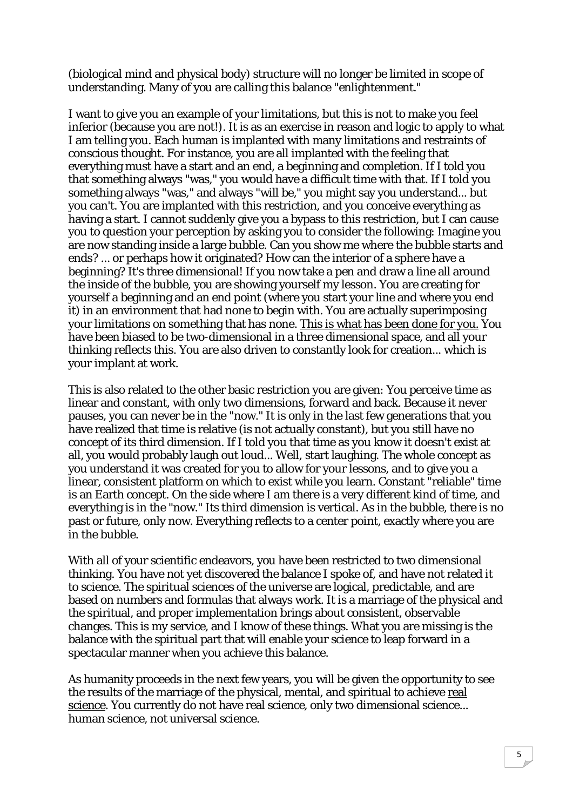(biological mind and physical body) structure will no longer be limited in scope of understanding. Many of you are calling this balance "enlightenment."

I want to give you an example of your limitations, but this is not to make you feel inferior (because you are not!). It is as an exercise in reason and logic to apply to what I am telling you. Each human is implanted with many limitations and restraints of conscious thought. For instance, you are all implanted with the feeling that everything must have a start and an end, a beginning and completion. If I told you that something always "was," you would have a difficult time with that. If I told you something always "was," and always "will be," you might say you understand... but you can't. You are implanted with this restriction, and you conceive everything as having a start. I cannot suddenly give you a bypass to this restriction, but I can cause you to question your perception by asking you to consider the following: Imagine you are now standing inside a large bubble. Can you show me where the bubble starts and ends? ... or perhaps how it originated? How can the interior of a sphere have a beginning? It's three dimensional! If you now take a pen and draw a line all around the inside of the bubble, you are showing yourself my lesson. You are creating for yourself a beginning and an end point (where you start your line and where you end it) in an environment that had none to begin with. You are actually superimposing your limitations on something that has none. This is what has been done for you. You have been biased to be two-dimensional in a three dimensional space, and all your thinking reflects this. You are also driven to constantly look for creation... which is your implant at work.

This is also related to the other basic restriction you are given: You perceive time as linear and constant, with only two dimensions, forward and back. Because it never pauses, you can never be in the "now." It is only in the last few generations that you have realized that time is relative (is not actually constant), but you still have no concept of its third dimension. If I told you that time as you know it doesn't exist at all, you would probably laugh out loud... Well, start laughing. The whole concept as you understand it was created for you to allow for your lessons, and to give you a linear, consistent platform on which to exist while you learn. Constant "reliable" time is an Earth concept. On the side where I am there is a very different kind of time, and everything is in the "now." Its third dimension is vertical. As in the bubble, there is no past or future, only now. Everything reflects to a center point, exactly where you are in the bubble.

With all of your scientific endeavors, you have been restricted to two dimensional thinking. You have not yet discovered the balance I spoke of, and have not related it to science. The spiritual sciences of the universe are logical, predictable, and are based on numbers and formulas that always work. It is a marriage of the physical and the spiritual, and proper implementation brings about consistent, observable changes. This is my service, and I know of these things. What you are missing is the balance with the spiritual part that will enable your science to leap forward in a spectacular manner when you achieve this balance.

As humanity proceeds in the next few years, you will be given the opportunity to see the results of the marriage of the physical, mental, and spiritual to achieve real science. You currently do not have real science, only two dimensional science... human science, not universal science.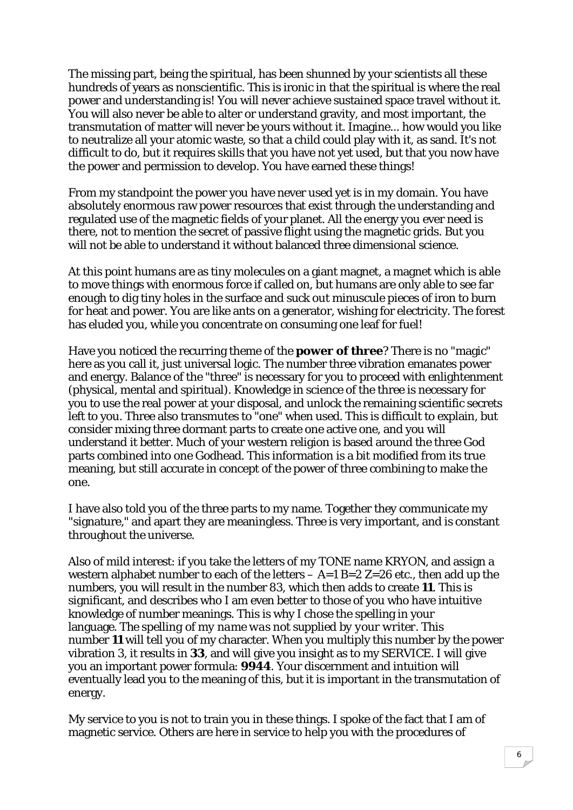The missing part, being the spiritual, has been shunned by your scientists all these hundreds of years as nonscientific. This is ironic in that the spiritual is where the real power and understanding is! You will never achieve sustained space travel without it. You will also never be able to alter or understand gravity, and most important, the transmutation of matter will never be yours without it. Imagine... how would you like to neutralize all your atomic waste, so that a child could play with it, as sand. It's not difficult to do, but it requires skills that you have not yet used, but that you now have the power and permission to develop. You have earned these things!

From my standpoint the power you have never used yet is in my domain. You have absolutely enormous raw power resources that exist through the understanding and regulated use of the magnetic fields of your planet. All the energy you ever need is there, not to mention the secret of passive flight using the magnetic grids. But you will not be able to understand it without balanced three dimensional science.

At this point humans are as tiny molecules on a giant magnet, a magnet which is able to move things with enormous force if called on, but humans are only able to see far enough to dig tiny holes in the surface and suck out minuscule pieces of iron to burn for heat and power. You are like ants on a generator, wishing for electricity. The forest has eluded you, while you concentrate on consuming one leaf for fuel!

Have you noticed the recurring theme of the **power of three**? There is no "magic" here as you call it, just universal logic. The number three vibration emanates power and energy. Balance of the "three" is necessary for you to proceed with enlightenment (physical, mental and spiritual). Knowledge in science of the three is necessary for you to use the real power at your disposal, and unlock the remaining scientific secrets left to you. Three also transmutes to "one" when used. This is difficult to explain, but consider mixing three dormant parts to create one active one, and you will understand it better. Much of your western religion is based around the three God parts combined into one Godhead. This information is a bit modified from its true meaning, but still accurate in concept of the power of three combining to make the one.

I have also told you of the three parts to my name. Together they communicate my "signature," and apart they are meaningless. Three is very important, and is constant throughout the universe.

Also of mild interest: if you take the letters of my TONE name KRYON, and assign a western alphabet number to each of the letters  $-A=1$  B=2 Z=26 etc., then add up the numbers, you will result in the number 83, which then adds to create **11**. This is significant, and describes who I am even better to those of you who have intuitive knowledge of number meanings. This is why I chose the spelling in your language. *The spelling of my name was not supplied by your writer*. This number **11** will tell you of my character. When you multiply this number by the power vibration 3, it results in **33**, and will give you insight as to my SERVICE. I will give you an important power formula: **9944**. Your discernment and intuition will eventually lead you to the meaning of this, but it is important in the transmutation of energy.

My service to you is not to train you in these things. I spoke of the fact that I am of magnetic service. Others are here in service to help you with the procedures of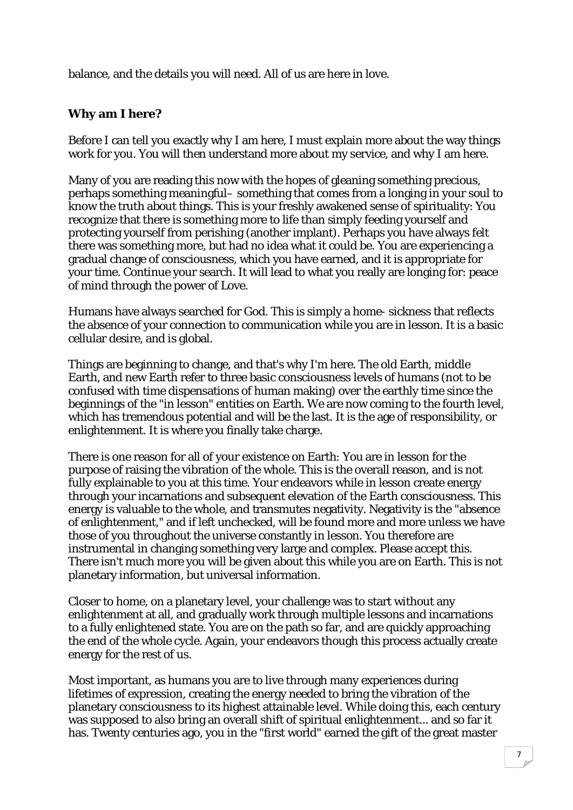balance, and the details you will need. All of us are here in love.

### **Why am I here?**

Before I can tell you exactly why I am here, I must explain more about the way things work for you. You will then understand more about my service, and why I am here.

Many of you are reading this now with the hopes of gleaning something precious, perhaps something meaningful– something that comes from a longing in your soul to know the truth about things. This is your freshly awakened sense of spirituality: You recognize that there is something more to life than simply feeding yourself and protecting yourself from perishing (another implant). Perhaps you have always felt there was something more, but had no idea what it could be. You are experiencing a gradual change of consciousness, which you have earned, and it is appropriate for your time. Continue your search. It will lead to what you really are longing for: peace of mind through the power of Love.

Humans have always searched for God. This is simply a home- sickness that reflects the absence of your connection to communication while you are in lesson. It is a basic cellular desire, and is global.

Things are beginning to change, and that's why I'm here. The old Earth, middle Earth, and new Earth refer to three basic consciousness levels of humans (not to be confused with time dispensations of human making) over the earthly time since the beginnings of the "in lesson" entities on Earth. We are now coming to the fourth level, which has tremendous potential and will be the last. It is the age of responsibility, or enlightenment. It is where you finally take charge.

There is one reason for all of your existence on Earth: You are in lesson for the purpose of raising the vibration of the whole. This is the overall reason, and is not fully explainable to you at this time. Your endeavors while in lesson create energy through your incarnations and subsequent elevation of the Earth consciousness. This energy is valuable to the whole, and transmutes negativity. Negativity is the "absence of enlightenment," and if left unchecked, will be found more and more unless we have those of you throughout the universe constantly in lesson. You therefore are instrumental in changing something very large and complex. Please accept this. There isn't much more you will be given about this while you are on Earth. This is not planetary information, but universal information.

Closer to home, on a planetary level, your challenge was to start without any enlightenment at all, and gradually work through multiple lessons and incarnations to a fully enlightened state. You are on the path so far, and are quickly approaching the end of the whole cycle. Again, your endeavors though this process actually create energy for the rest of us.

Most important, as humans you are to live through many experiences during lifetimes of expression, creating the energy needed to bring the vibration of the planetary consciousness to its highest attainable level. While doing this, each century was supposed to also bring an overall shift of spiritual enlightenment... and so far it has. Twenty centuries ago, you in the "first world" earned the gift of the great master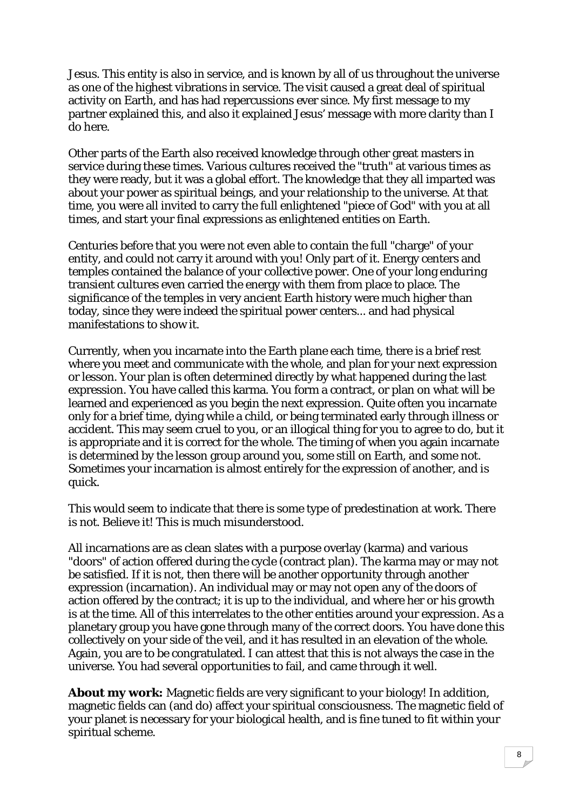Jesus. This entity is also in service, and is known by all of us throughout the universe as one of the highest vibrations in service. The visit caused a great deal of spiritual activity on Earth, and has had repercussions ever since. My first message to my partner explained this, and also it explained Jesus' message with more clarity than I do here.

Other parts of the Earth also received knowledge through other great masters in service during these times. Various cultures received the "truth" at various times as they were ready, but it was a global effort. The knowledge that they all imparted was about your power as spiritual beings, and your relationship to the universe. At that time, you were all invited to carry the full enlightened "piece of God" with you at all times, and start your final expressions as enlightened entities on Earth.

Centuries before that you were not even able to contain the full "charge" of your entity, and could not carry it around with you! Only part of it. Energy centers and temples contained the balance of your collective power. One of your long enduring transient cultures even carried the energy with them from place to place. The significance of the temples in very ancient Earth history were much higher than today, since they were indeed the spiritual power centers... and had physical manifestations to show it.

Currently, when you incarnate into the Earth plane each time, there is a brief rest where you meet and communicate with the whole, and plan for your next expression or lesson. Your plan is often determined directly by what happened during the last expression. You have called this karma. You form a contract, or plan on what will be learned and experienced as you begin the next expression. Quite often you incarnate only for a brief time, dying while a child, or being terminated early through illness or accident. This may seem cruel to you, or an illogical thing for you to agree to do, but it is appropriate and it is correct for the whole. The timing of when you again incarnate is determined by the lesson group around you, some still on Earth, and some not. Sometimes your incarnation is almost entirely for the expression of another, and is quick.

This would seem to indicate that there is some type of predestination at work. There is not. Believe it! This is much misunderstood.

All incarnations are as clean slates with a purpose overlay (karma) and various "doors" of action offered during the cycle (contract plan). The karma may or may not be satisfied. If it is not, then there will be another opportunity through another expression (incarnation). An individual may or may not open any of the doors of action offered by the contract; it is up to the individual, and where her or his growth is at the time. All of this interrelates to the other entities around your expression. As a planetary group you have gone through many of the correct doors. You have done this collectively on your side of the veil, and it has resulted in an elevation of the whole. Again, you are to be congratulated. I can attest that this is not always the case in the universe. You had several opportunities to fail, and came through it well.

**About my work:** Magnetic fields are very significant to your biology! In addition, magnetic fields can (and do) affect your spiritual consciousness. The magnetic field of your planet is necessary for your biological health, and is fine tuned to fit within your spiritual scheme.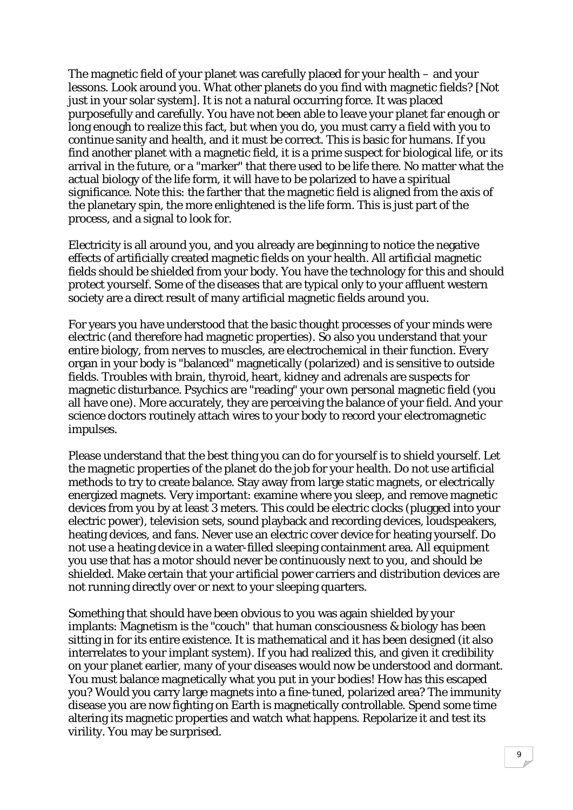The magnetic field of your planet was carefully placed for your health – and your lessons. Look around you. What other planets do you find with magnetic fields? [Not just in your solar system]. It is not a natural occurring force. It was placed purposefully and carefully. You have not been able to leave your planet far enough or long enough to realize this fact, but when you do, you must carry a field with you to continue sanity and health, and it must be correct. This is basic for humans. If you find another planet with a magnetic field, it is a prime suspect for biological life, or its arrival in the future, or a "marker" that there used to be life there. No matter what the actual biology of the life form, it will have to be polarized to have a spiritual significance. Note this: the farther that the magnetic field is aligned from the axis of the planetary spin, the more enlightened is the life form. This is just part of the process, and a signal to look for.

Electricity is all around you, and you already are beginning to notice the negative effects of artificially created magnetic fields on your health. All artificial magnetic fields should be shielded from your body. You have the technology for this and should protect yourself. Some of the diseases that are typical only to your affluent western society are a direct result of many artificial magnetic fields around you.

For years you have understood that the basic thought processes of your minds were electric (and therefore had magnetic properties). So also you understand that your entire biology, from nerves to muscles, are electrochemical in their function. Every organ in your body is "balanced" magnetically (polarized) and is sensitive to outside fields. Troubles with brain, thyroid, heart, kidney and adrenals are suspects for magnetic disturbance. Psychics are "reading" your own personal magnetic field (you all have one). More accurately, they are perceiving the balance of your field. And your science doctors routinely attach wires to your body to record your electromagnetic impulses.

Please understand that the best thing you can do for yourself is to shield yourself. Let the magnetic properties of the planet do the job for your health. Do not use artificial methods to try to create balance. Stay away from large static magnets, or electrically energized magnets. Very important: examine where you sleep, and remove magnetic devices from you by at least 3 meters. This could be electric clocks (plugged into your electric power), television sets, sound playback and recording devices, loudspeakers, heating devices, and fans. Never use an electric cover device for heating yourself. Do not use a heating device in a water-filled sleeping containment area. All equipment you use that has a motor should never be continuously next to you, and should be shielded. Make certain that your artificial power carriers and distribution devices are not running directly over or next to your sleeping quarters.

Something that should have been obvious to you was again shielded by your implants: Magnetism is the "couch" that human consciousness & biology has been sitting in for its entire existence. It is mathematical and it has been designed (it also interrelates to your implant system). If you had realized this, and given it credibility on your planet earlier, many of your diseases would now be understood and dormant. You must balance magnetically what you put in your bodies! How has this escaped you? Would you carry large magnets into a fine-tuned, polarized area? The immunity disease you are now fighting on Earth is magnetically controllable. Spend some time altering its magnetic properties and watch what happens. Repolarize it and test its virility. You may be surprised.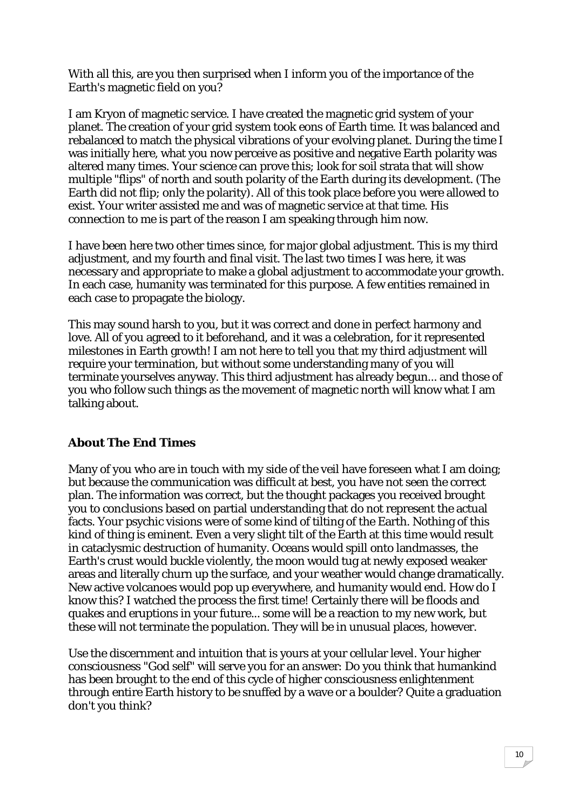With all this, are you then surprised when I inform you of the importance of the Earth's magnetic field on you?

I am Kryon of magnetic service. I have created the magnetic grid system of your planet. The creation of your grid system took eons of Earth time. It was balanced and rebalanced to match the physical vibrations of your evolving planet. During the time I was initially here, what you now perceive as positive and negative Earth polarity was altered many times. Your science can prove this; look for soil strata that will show multiple "flips" of north and south polarity of the Earth during its development. (The Earth did not flip; only the polarity). All of this took place before you were allowed to exist. Your writer assisted me and was of magnetic service at that time. His connection to me is part of the reason I am speaking through him now.

I have been here two other times since, for major global adjustment. This is my third adjustment, and my fourth and final visit. The last two times I was here, it was necessary and appropriate to make a global adjustment to accommodate your growth. In each case, humanity was terminated for this purpose. A few entities remained in each case to propagate the biology.

This may sound harsh to you, but it was correct and done in perfect harmony and love. All of you agreed to it beforehand, and it was a celebration, for it represented milestones in Earth growth! I am not here to tell you that my third adjustment will require your termination, but without some understanding many of you will terminate yourselves anyway. This third adjustment has already begun... and those of you who follow such things as the movement of magnetic north will know what I am talking about.

#### **About The End Times**

Many of you who are in touch with my side of the veil have foreseen what I am doing; but because the communication was difficult at best, you have not seen the correct plan. The information was correct, but the thought packages you received brought you to conclusions based on partial understanding that do not represent the actual facts. Your psychic visions were of some kind of tilting of the Earth. Nothing of this kind of thing is eminent. Even a very slight tilt of the Earth at this time would result in cataclysmic destruction of humanity. Oceans would spill onto landmasses, the Earth's crust would buckle violently, the moon would tug at newly exposed weaker areas and literally churn up the surface, and your weather would change dramatically. New active volcanoes would pop up everywhere, and humanity would end. How do I know this? I watched the process the first time! Certainly there will be floods and quakes and eruptions in your future... some will be a reaction to my new work, but these will not terminate the population. They will be in unusual places, however.

Use the discernment and intuition that is yours at your cellular level. Your higher consciousness "God self" will serve you for an answer: Do you think that humankind has been brought to the end of this cycle of higher consciousness enlightenment through entire Earth history to be snuffed by a wave or a boulder? Quite a graduation don't you think?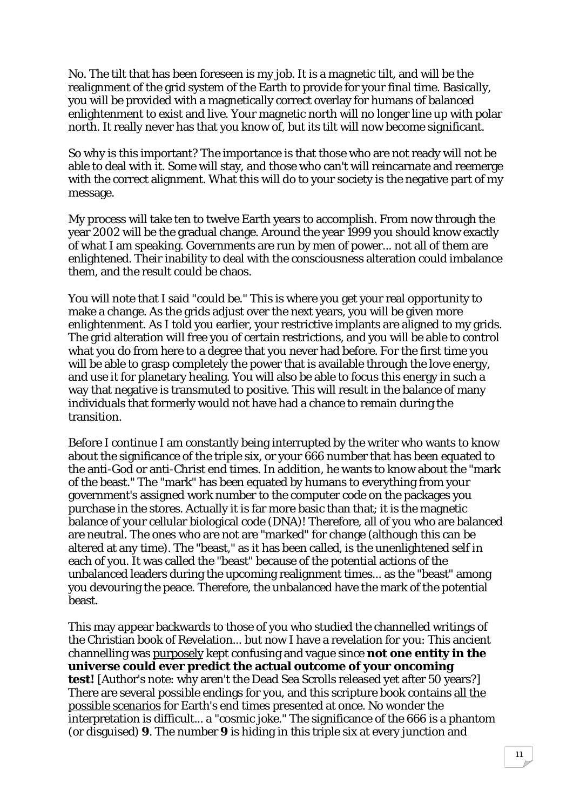No. The tilt that has been foreseen is my job. It is a magnetic tilt, and will be the realignment of the grid system of the Earth to provide for your final time. Basically, you will be provided with a magnetically correct overlay for humans of balanced enlightenment to exist and live. Your magnetic north will no longer line up with polar north. It really never has that you know of, but its tilt will now become significant.

So why is this important? The importance is that those who are not ready will not be able to deal with it. Some will stay, and those who can't will reincarnate and reemerge with the correct alignment. What this will do to your society is the negative part of my message.

My process will take ten to twelve Earth years to accomplish. From now through the year 2002 will be the gradual change. Around the year 1999 you should know exactly of what I am speaking. Governments are run by men of power... not all of them are enlightened. Their inability to deal with the consciousness alteration could imbalance them, and the result could be chaos.

You will note that I said "could be." This is where you get your real opportunity to make a change. As the grids adjust over the next years, you will be given more enlightenment. As I told you earlier, your restrictive implants are aligned to my grids. The grid alteration will free you of certain restrictions, and you will be able to control what you do from here to a degree that you never had before. For the first time you will be able to grasp completely the power that is available through the love energy, and use it for planetary healing. You will also be able to focus this energy in such a way that negative is transmuted to positive. This will result in the balance of many individuals that formerly would not have had a chance to remain during the transition.

Before I continue I am constantly being interrupted by the writer who wants to know about the significance of the triple six, or your 666 number that has been equated to the anti-God or anti-Christ end times. In addition, he wants to know about the "mark of the beast." The "mark" has been equated by humans to everything from your government's assigned work number to the computer code on the packages you purchase in the stores. Actually it is far more basic than that; it is the magnetic balance of your cellular biological code (DNA)! Therefore, all of you who are balanced are neutral. The ones who are not are "marked" for change (although this can be altered at any time). The "beast," as it has been called, is the unenlightened self in each of you. It was called the "beast" because of the potential actions of the unbalanced leaders during the upcoming realignment times... as the "beast" among you devouring the peace. Therefore, the unbalanced have the mark of the potential beast.

This may appear backwards to those of you who studied the channelled writings of the Christian book of Revelation... but now I have a revelation for you: This ancient channelling was purposely kept confusing and vague since **not one entity in the universe could ever predict the actual outcome of your oncoming test!** [Author's note: why aren't the Dead Sea Scrolls released yet after 50 years?] There are several possible endings for you, and this scripture book contains all the possible scenarios for Earth's end times presented at once. No wonder the interpretation is difficult... a "cosmic joke." The significance of the 666 is a phantom (or disguised) **9**. The number **9** is hiding in this triple six at every junction and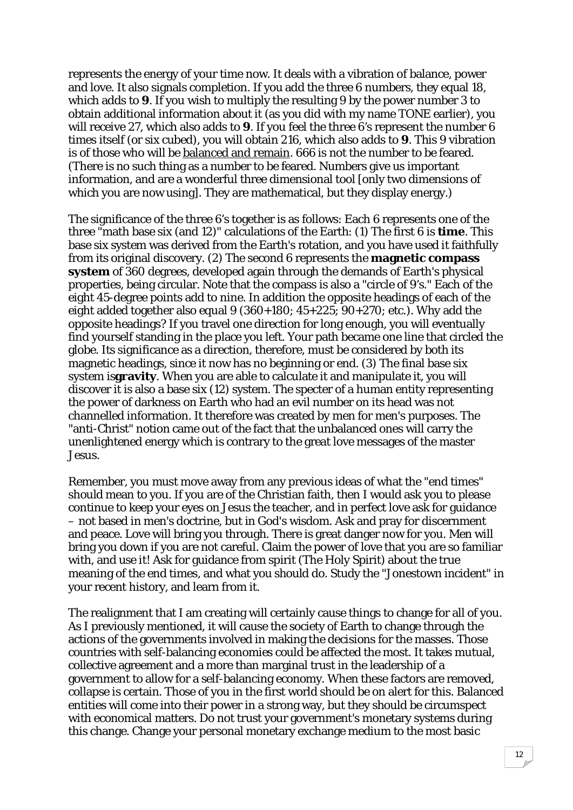represents the energy of your time now. It deals with a vibration of balance, power and love. It also signals completion. If you add the three 6 numbers, they equal 18, which adds to **9**. If you wish to multiply the resulting 9 by the power number 3 to obtain additional information about it (as you did with my name TONE earlier), you will receive 27, which also adds to **9**. If you feel the three 6's represent the number 6 times itself (or six cubed), you will obtain 216, which also adds to **9**. This 9 vibration is of those who will be balanced and remain. 666 is not the number to be feared. (There is no such thing as a number to be feared. Numbers give us important information, and are a wonderful three dimensional tool [only two dimensions of which you are now using]. They are mathematical, but they display energy.)

The significance of the three 6's together is as follows: Each 6 represents one of the three "math base six (and 12)" calculations of the Earth: (1) The first 6 is **time**. This base six system was derived from the Earth's rotation, and you have used it faithfully from its original discovery. (2) The second 6 represents the **magnetic compass system** of 360 degrees, developed again through the demands of Earth's physical properties, being circular. Note that the compass is also a "circle of 9's." Each of the eight 45-degree points add to nine. In addition the opposite headings of each of the eight added together also equal 9 (360+180; 45+225; 90+270; etc.). Why add the opposite headings? If you travel one direction for long enough, you will eventually find yourself standing in the place you left. Your path became one line that circled the globe. Its significance as a direction, therefore, must be considered by both its magnetic headings, since it now has no beginning or end. (3) The final base six system is**gravity**. When you are able to calculate it and manipulate it, you will discover it is also a base six (12) system. The specter of a human entity representing the power of darkness on Earth who had an evil number on its head was not channelled information. It therefore was created by men for men's purposes. The "anti-Christ" notion came out of the fact that the unbalanced ones will carry the unenlightened energy which is contrary to the great love messages of the master Jesus.

Remember, you must move away from any previous ideas of what the "end times" should mean to you. If you are of the Christian faith, then I would ask you to please continue to keep your eyes on Jesus the teacher, and in perfect love ask for guidance – not based in men's doctrine, but in God's wisdom. Ask and pray for discernment and peace. Love will bring you through. There is great danger now for you. Men will bring you down if you are not careful. Claim the power of love that you are so familiar with, and use it! Ask for guidance from spirit (The Holy Spirit) about the true meaning of the end times, and what you should do. Study the "Jonestown incident" in your recent history, and learn from it.

The realignment that I am creating will certainly cause things to change for all of you. As I previously mentioned, it will cause the society of Earth to change through the actions of the governments involved in making the decisions for the masses. Those countries with self-balancing economies could be affected the most. It takes mutual, collective agreement and a more than marginal trust in the leadership of a government to allow for a self-balancing economy. When these factors are removed, collapse is certain. Those of you in the first world should be on alert for this. Balanced entities will come into their power in a strong way, but they should be circumspect with economical matters. Do not trust your government's monetary systems during this change. Change your personal monetary exchange medium to the most basic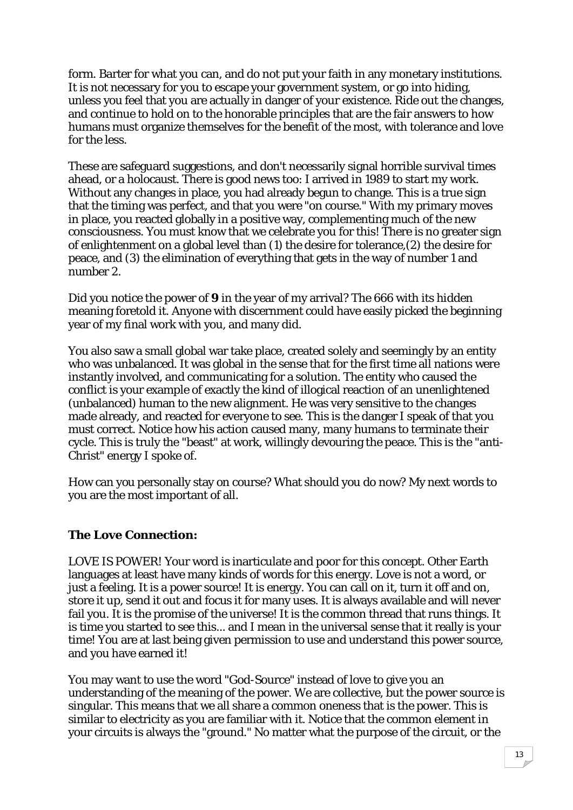form. Barter for what you can, and do not put your faith in any monetary institutions. It is not necessary for you to escape your government system, or go into hiding, unless you feel that you are actually in danger of your existence. Ride out the changes, and continue to hold on to the honorable principles that are the fair answers to how humans must organize themselves for the benefit of the most, with tolerance and love for the less.

These are safeguard suggestions, and don't necessarily signal horrible survival times ahead, or a holocaust. There is good news too: I arrived in 1989 to start my work. Without any changes in place, you had already begun to change. This is a true sign that the timing was perfect, and that you were "on course." With my primary moves in place, you reacted globally in a positive way, complementing much of the new consciousness. You must know that we celebrate you for this! There is no greater sign of enlightenment on a global level than (1) the desire for tolerance,(2) the desire for peace, and (3) the elimination of everything that gets in the way of number 1 and number 2.

Did you notice the power of **9** in the year of my arrival? The 666 with its hidden meaning foretold it. Anyone with discernment could have easily picked the beginning year of my final work with you, and many did.

You also saw a small global war take place, created solely and seemingly by an entity who was unbalanced. It was global in the sense that for the first time all nations were instantly involved, and communicating for a solution. The entity who caused the conflict is your example of exactly the kind of illogical reaction of an unenlightened (unbalanced) human to the new alignment. He was very sensitive to the changes made already, and reacted for everyone to see. This is the danger I speak of that you must correct. Notice how his action caused many, many humans to terminate their cycle. This is truly the "beast" at work, willingly devouring the peace. This is the "anti-Christ" energy I spoke of.

How can you personally stay on course? What should you do now? My next words to you are the most important of all.

**The Love Connection:**

LOVE IS POWER! Your word is inarticulate and poor for this concept. Other Earth languages at least have many kinds of words for this energy. Love is not a word, or just a feeling. It is a power source! It is energy. You can call on it, turn it off and on, store it up, send it out and focus it for many uses. It is always available and will never fail you. It is the promise of the universe! It is the common thread that runs things. It is time you started to see this... and I mean in the universal sense that it really is your time! You are at last being given permission to use and understand this power source, and you have earned it!

You may want to use the word "God-Source" instead of love to give you an understanding of the meaning of the power. We are collective, but the power source is singular. This means that we all share a common oneness that is the power. This is similar to electricity as you are familiar with it. Notice that the common element in your circuits is always the "ground." No matter what the purpose of the circuit, or the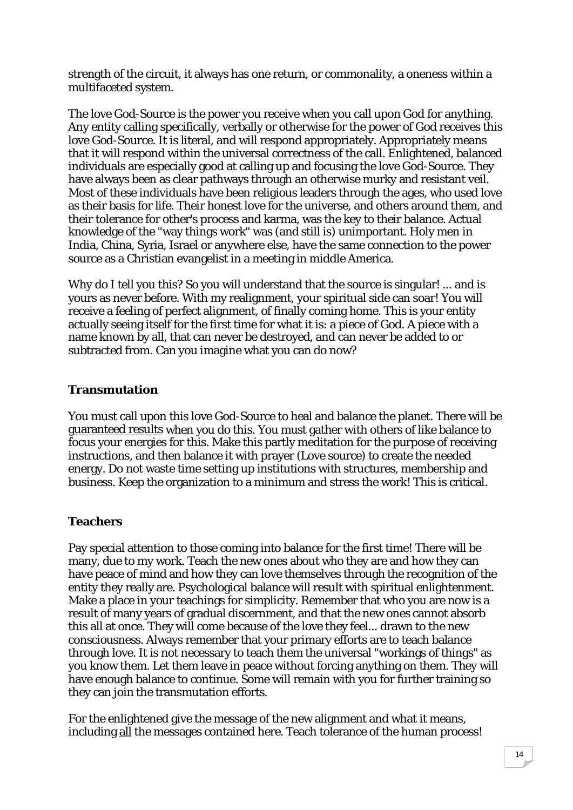strength of the circuit, it always has one return, or commonality, a oneness within a multifaceted system.

The love God-Source is the power you receive when you call upon God for anything. Any entity calling specifically, verbally or otherwise for the power of God receives this love God-Source. It is literal, and will respond appropriately. Appropriately means that it will respond within the universal correctness of the call. Enlightened, balanced individuals are especially good at calling up and focusing the love God-Source. They have always been as clear pathways through an otherwise murky and resistant veil. Most of these individuals have been religious leaders through the ages, who used love as their basis for life. Their honest love for the universe, and others around them, and their tolerance for other's process and karma, was the key to their balance. Actual knowledge of the "way things work" was (and still is) unimportant. Holy men in India, China, Syria, Israel or anywhere else, have the same connection to the power source as a Christian evangelist in a meeting in middle America.

Why do I tell you this? So you will understand that the source is singular! ... and is yours as never before. With my realignment, your spiritual side can soar! You will receive a feeling of perfect alignment, of finally coming home. This is your entity actually seeing itself for the first time for what it is: a piece of God. A piece with a name known by all, that can never be destroyed, and can never be added to or subtracted from. Can you imagine what you can do now?

## **Transmutation**

You must call upon this love God-Source to heal and balance the planet. There will be guaranteed results when you do this. You must gather with others of like balance to focus your energies for this. Make this partly meditation for the purpose of receiving instructions, and then balance it with prayer (Love source) to create the needed energy. Do not waste time setting up institutions with structures, membership and business. Keep the organization to a minimum and stress the work! This is critical.

# **Teachers**

Pay special attention to those coming into balance for the first time! There will be many, due to my work. Teach the new ones about who they are and how they can have peace of mind and how they can love themselves through the recognition of the entity they really are. Psychological balance will result with spiritual enlightenment. Make a place in your teachings for simplicity. Remember that who you are now is a result of many years of gradual discernment, and that the new ones cannot absorb this all at once. They will come because of the love they feel... drawn to the new consciousness. Always remember that your primary efforts are to teach balance through love. It is not necessary to teach them the universal "workings of things" as you know them. Let them leave in peace without forcing anything on them. They will have enough balance to continue. Some will remain with you for further training so they can join the transmutation efforts.

For the enlightened give the message of the new alignment and what it means, including all the messages contained here. Teach tolerance of the human process!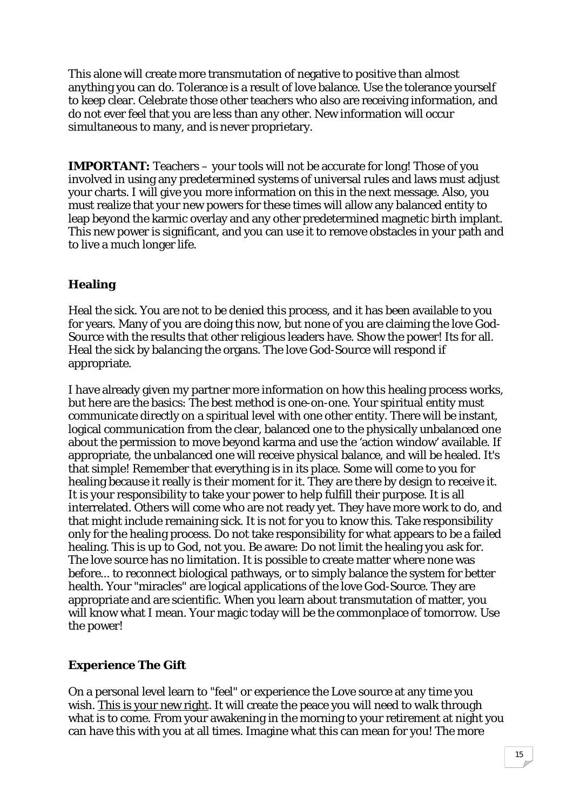This alone will create more transmutation of negative to positive than almost anything you can do. Tolerance is a result of love balance. Use the tolerance yourself to keep clear. Celebrate those other teachers who also are receiving information, and do not ever feel that you are less than any other. New information will occur simultaneous to many, and is never proprietary.

**IMPORTANT:** Teachers – your tools will not be accurate for long! Those of you involved in using any predetermined systems of universal rules and laws must adjust your charts. I will give you more information on this in the next message. Also, you must realize that your new powers for these times will allow any balanced entity to leap beyond the karmic overlay and any other predetermined magnetic birth implant. This new power is significant, and you can use it to remove obstacles in your path and to live a much longer life.

## **Healing**

Heal the sick. You are not to be denied this process, and it has been available to you for years. Many of you are doing this now, but none of you are claiming the love God-Source with the results that other religious leaders have. Show the power! Its for all. Heal the sick by balancing the organs. The love God-Source will respond if appropriate.

I have already given my partner more information on how this healing process works, but here are the basics: The best method is one-on-one. Your spiritual entity must communicate directly on a spiritual level with one other entity. There will be instant, logical communication from the clear, balanced one to the physically unbalanced one about the permission to move beyond karma and use the 'action window' available. If appropriate, the unbalanced one will receive physical balance, and will be healed. It's that simple! Remember that everything is in its place. Some will come to you for healing because it really is their moment for it. They are there by design to receive it. It is your responsibility to take your power to help fulfill their purpose. It is all interrelated. Others will come who are not ready yet. They have more work to do, and that might include remaining sick. It is not for you to know this. Take responsibility only for the healing process. Do not take responsibility for what appears to be a failed healing. This is up to God, not you. Be aware: Do not limit the healing you ask for. The love source has no limitation. It is possible to create matter where none was before... to reconnect biological pathways, or to simply balance the system for better health. Your "miracles" are logical applications of the love God-Source. They are appropriate and are scientific. When you learn about transmutation of matter, you will know what I mean. Your magic today will be the commonplace of tomorrow. Use the power!

# **Experience The Gift**

On a personal level learn to "feel" or experience the Love source at any time you wish. This is your new right. It will create the peace you will need to walk through what is to come. From your awakening in the morning to your retirement at night you can have this with you at all times. Imagine what this can mean for you! The more